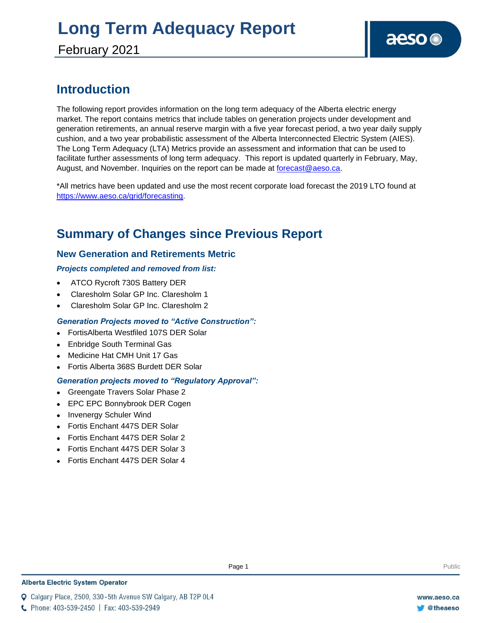### **Introduction**

The following report provides information on the long term adequacy of the Alberta electric energy market. The report contains metrics that include tables on generation projects under development and generation retirements, an annual reserve margin with a five year forecast period, a two year daily supply cushion, and a two year probabilistic assessment of the Alberta Interconnected Electric System (AIES). The Long Term Adequacy (LTA) Metrics provide an assessment and information that can be used to facilitate further assessments of long term adequacy. This report is updated quarterly in February, May, August, and November. Inquiries on the report can be made at [forecast@aeso.ca.](mailto:forecast@aeso.ca)

\*All metrics have been updated and use the most recent corporate load forecast the 2019 LTO found at [https://www.aeso.ca/grid/forecasting.](https://www.aeso.ca/grid/forecasting)

### **Summary of Changes since Previous Report**

### **New Generation and Retirements Metric**

### *Projects completed and removed from list:*

- ATCO Rycroft 730S Battery DER
- Claresholm Solar GP Inc. Claresholm 1
- Claresholm Solar GP Inc. Claresholm 2

### *Generation Projects moved to "Active Construction":*

- ⚫ FortisAlberta Westfiled 107S DER Solar
- ⚫ Enbridge South Terminal Gas
- ⚫ Medicine Hat CMH Unit 17 Gas
- ⚫ Fortis Alberta 368S Burdett DER Solar

### *Generation projects moved to "Regulatory Approval":*

- ⚫ Greengate Travers Solar Phase 2
- EPC EPC Bonnybrook DER Cogen
- ⚫ Invenergy Schuler Wind
- ⚫ Fortis Enchant 447S DER Solar
- ⚫ Fortis Enchant 447S DER Solar 2
- ⚫ Fortis Enchant 447S DER Solar 3
- ⚫ Fortis Enchant 447S DER Solar 4

Q Calgary Place, 2500, 330-5th Avenue SW Calgary, AB T2P 0L4

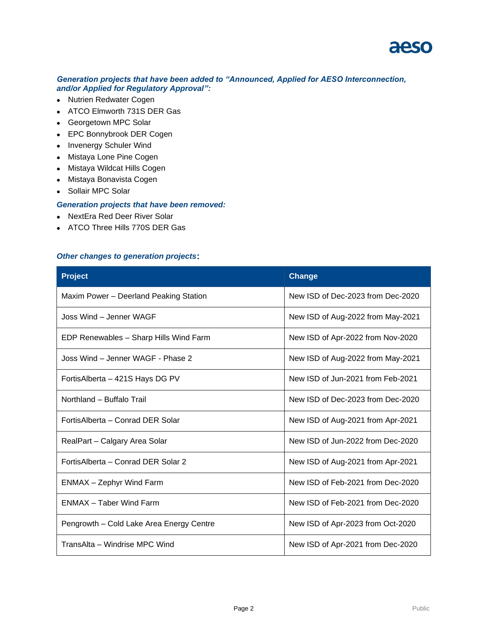

#### *Generation projects that have been added to "Announced, Applied for AESO Interconnection, and/or Applied for Regulatory Approval":*

- ⚫ Nutrien Redwater Cogen
- ⚫ ATCO Elmworth 731S DER Gas
- ⚫ Georgetown MPC Solar
- ⚫ EPC Bonnybrook DER Cogen
- ⚫ Invenergy Schuler Wind
- ⚫ Mistaya Lone Pine Cogen
- ⚫ Mistaya Wildcat Hills Cogen
- ⚫ Mistaya Bonavista Cogen
- ⚫ Sollair MPC Solar

#### *Generation projects that have been removed:*

- ⚫ NextEra Red Deer River Solar
- ⚫ ATCO Three Hills 770S DER Gas

#### *Other changes to generation projects***:**

| <b>Project</b>                           | <b>Change</b>                     |
|------------------------------------------|-----------------------------------|
| Maxim Power - Deerland Peaking Station   | New ISD of Dec-2023 from Dec-2020 |
| Joss Wind – Jenner WAGF                  | New ISD of Aug-2022 from May-2021 |
| EDP Renewables - Sharp Hills Wind Farm   | New ISD of Apr-2022 from Nov-2020 |
| Joss Wind – Jenner WAGF - Phase 2        | New ISD of Aug-2022 from May-2021 |
| FortisAlberta – 421S Hays DG PV          | New ISD of Jun-2021 from Feb-2021 |
| Northland - Buffalo Trail                | New ISD of Dec-2023 from Dec-2020 |
| Fortis Alberta - Conrad DER Solar        | New ISD of Aug-2021 from Apr-2021 |
| RealPart - Calgary Area Solar            | New ISD of Jun-2022 from Dec-2020 |
| Fortis Alberta - Conrad DER Solar 2      | New ISD of Aug-2021 from Apr-2021 |
| <b>ENMAX</b> - Zephyr Wind Farm          | New ISD of Feb-2021 from Dec-2020 |
| <b>ENMAX</b> – Taber Wind Farm           | New ISD of Feb-2021 from Dec-2020 |
| Pengrowth - Cold Lake Area Energy Centre | New ISD of Apr-2023 from Oct-2020 |
| TransAlta - Windrise MPC Wind            | New ISD of Apr-2021 from Dec-2020 |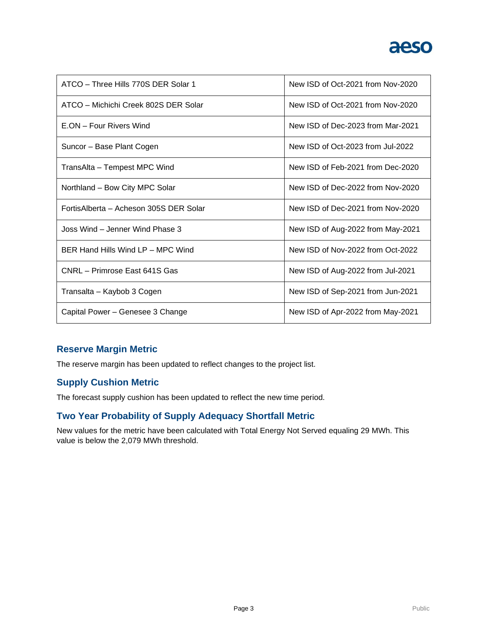

| ATCO - Three Hills 770S DER Solar 1    | New ISD of Oct-2021 from Nov-2020 |
|----------------------------------------|-----------------------------------|
| ATCO – Michichi Creek 802S DER Solar   | New ISD of Oct-2021 from Nov-2020 |
| E.ON - Four Rivers Wind                | New ISD of Dec-2023 from Mar-2021 |
| Suncor - Base Plant Cogen              | New ISD of Oct-2023 from Jul-2022 |
| TransAlta - Tempest MPC Wind           | New ISD of Feb-2021 from Dec-2020 |
| Northland - Bow City MPC Solar         | New ISD of Dec-2022 from Nov-2020 |
| FortisAlberta - Acheson 305S DER Solar | New ISD of Dec-2021 from Nov-2020 |
| Joss Wind – Jenner Wind Phase 3        | New ISD of Aug-2022 from May-2021 |
| BER Hand Hills Wind LP - MPC Wind      | New ISD of Nov-2022 from Oct-2022 |
| CNRL - Primrose East 641S Gas          | New ISD of Aug-2022 from Jul-2021 |
| Transalta – Kaybob 3 Cogen             | New ISD of Sep-2021 from Jun-2021 |
| Capital Power - Genesee 3 Change       | New ISD of Apr-2022 from May-2021 |

### **Reserve Margin Metric**

The reserve margin has been updated to reflect changes to the project list.

### **Supply Cushion Metric**

The forecast supply cushion has been updated to reflect the new time period.

### **Two Year Probability of Supply Adequacy Shortfall Metric**

New values for the metric have been calculated with Total Energy Not Served equaling 29 MWh. This value is below the 2,079 MWh threshold.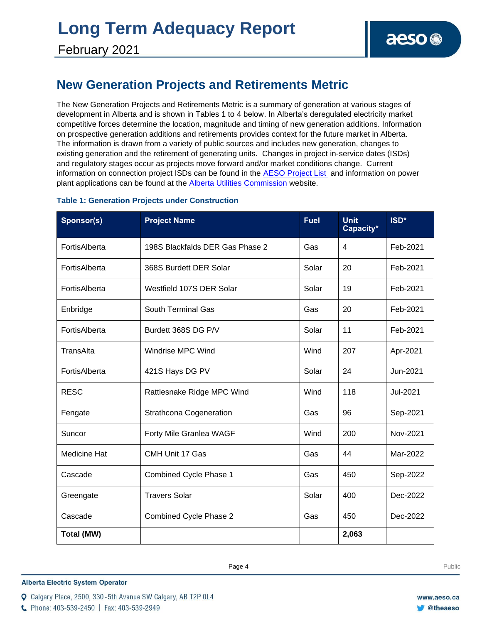# **Long Term Adequacy Report**

### **New Generation Projects and Retirements Metric**

The New Generation Projects and Retirements Metric is a summary of generation at various stages of development in Alberta and is shown in Tables 1 to 4 below. In Alberta's deregulated electricity market competitive forces determine the location, magnitude and timing of new generation additions. Information on prospective generation additions and retirements provides context for the future market in Alberta. The information is drawn from a variety of public sources and includes new generation, changes to existing generation and the retirement of generating units. Changes in project in-service dates (ISDs) and regulatory stages occur as projects move forward and/or market conditions change. Current information on connection project ISDs can be found in the [AESO Project List](https://www.aeso.ca/grid/connecting-to-the-grid/) and information on power plant applications can be found at the **Alberta Utilities Commission** website.

| Sponsor(s)          | <b>Project Name</b>             | <b>Fuel</b> | <b>Unit</b><br>Capacity* | ISD*     |
|---------------------|---------------------------------|-------------|--------------------------|----------|
| FortisAlberta       | 198S Blackfalds DER Gas Phase 2 | Gas         | 4                        | Feb-2021 |
| FortisAlberta       | 368S Burdett DER Solar          | Solar       | 20                       | Feb-2021 |
| FortisAlberta       | Westfield 107S DER Solar        | Solar       | 19                       | Feb-2021 |
| Enbridge            | <b>South Terminal Gas</b>       | Gas         | 20                       | Feb-2021 |
| FortisAlberta       | Burdett 368S DG P/V             | Solar       | 11                       | Feb-2021 |
| TransAlta           | Windrise MPC Wind               | Wind        | 207                      | Apr-2021 |
| FortisAlberta       | 421S Hays DG PV                 | Solar       | 24                       | Jun-2021 |
| <b>RESC</b>         | Rattlesnake Ridge MPC Wind      | Wind        | 118                      | Jul-2021 |
| Fengate             | Strathcona Cogeneration         | Gas         | 96                       | Sep-2021 |
| Suncor              | Forty Mile Granlea WAGF         | Wind        | 200                      | Nov-2021 |
| <b>Medicine Hat</b> | CMH Unit 17 Gas                 | Gas         | 44                       | Mar-2022 |
| Cascade             | Combined Cycle Phase 1          | Gas         | 450                      | Sep-2022 |
| Greengate           | <b>Travers Solar</b>            | Solar       | 400                      | Dec-2022 |
| Cascade             | Combined Cycle Phase 2          | Gas         | 450                      | Dec-2022 |
| Total (MW)          |                                 |             | 2,063                    |          |

### **Table 1: Generation Projects under Construction**

**Enter Football Page 4** Public Page 4 **Public Page 4** Public Page 4 **Public Public Page 4** Public Page 1 **Public Page 4** Public Page 1 **Public Page 1 Public Page 1 Public Page 1 Public Page 1 Public Page 1 Public Page 1 Pu** 

**Alberta Electric System Operator** 

C Phone: 403-539-2450 | Fax: 403-539-2949

Q Calgary Place, 2500, 330-5th Avenue SW Calgary, AB T2P 0L4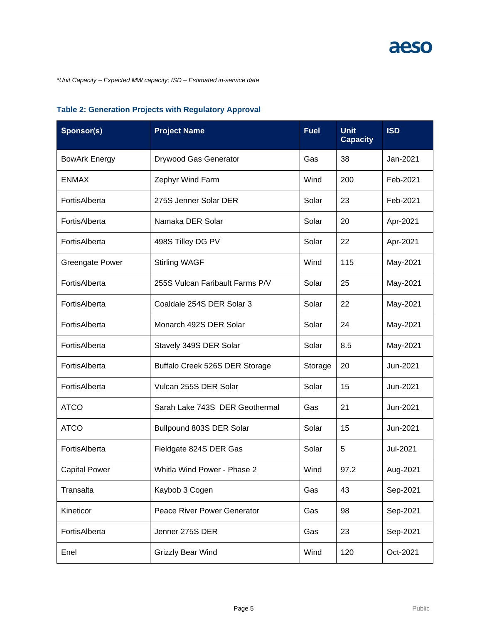*\*Unit Capacity – Expected MW capacity; ISD – Estimated in-service date*

| Sponsor(s)             | <b>Project Name</b>             | <b>Fuel</b> | <b>Unit</b><br><b>Capacity</b> | <b>ISD</b> |
|------------------------|---------------------------------|-------------|--------------------------------|------------|
| <b>BowArk Energy</b>   | Drywood Gas Generator           | Gas         | 38                             | Jan-2021   |
| <b>ENMAX</b>           | Zephyr Wind Farm                | Wind        | 200                            | Feb-2021   |
| FortisAlberta          | 275S Jenner Solar DER           | Solar       | 23                             | Feb-2021   |
| FortisAlberta          | Namaka DER Solar                | Solar       | 20                             | Apr-2021   |
| FortisAlberta          | 498S Tilley DG PV               | Solar       | 22                             | Apr-2021   |
| <b>Greengate Power</b> | <b>Stirling WAGF</b>            | Wind        | 115                            | May-2021   |
| FortisAlberta          | 255S Vulcan Faribault Farms P/V | Solar       | 25                             | May-2021   |
| FortisAlberta          | Coaldale 254S DER Solar 3       | Solar       | 22                             | May-2021   |
| FortisAlberta          | Monarch 492S DER Solar          | Solar       | 24                             | May-2021   |
| FortisAlberta          | Stavely 349S DER Solar          | Solar       | 8.5                            | May-2021   |
| FortisAlberta          | Buffalo Creek 526S DER Storage  | Storage     | 20                             | Jun-2021   |
| FortisAlberta          | Vulcan 255S DER Solar           | Solar       | 15                             | Jun-2021   |
| <b>ATCO</b>            | Sarah Lake 743S DER Geothermal  | Gas         | 21                             | Jun-2021   |
| <b>ATCO</b>            | Bullpound 803S DER Solar        | Solar       | 15                             | Jun-2021   |
| FortisAlberta          | Fieldgate 824S DER Gas          | Solar       | 5                              | Jul-2021   |
| <b>Capital Power</b>   | Whitla Wind Power - Phase 2     | Wind        | 97.2                           | Aug-2021   |
| Transalta              | Kaybob 3 Cogen                  | Gas         | 43                             | Sep-2021   |
| Kineticor              | Peace River Power Generator     | Gas         | 98                             | Sep-2021   |
| FortisAlberta          | Jenner 275S DER                 | Gas         | 23                             | Sep-2021   |
| Enel                   | Grizzly Bear Wind               | Wind        | 120                            | Oct-2021   |

### **Table 2: Generation Projects with Regulatory Approval**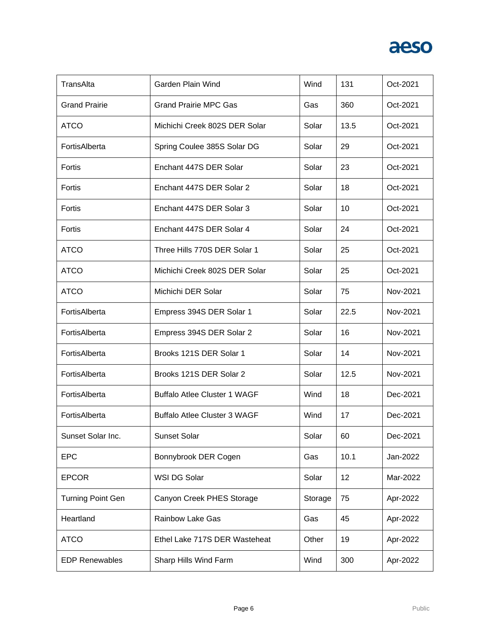| TransAlta                | Garden Plain Wind                   | Wind    | 131  | Oct-2021 |
|--------------------------|-------------------------------------|---------|------|----------|
| <b>Grand Prairie</b>     | <b>Grand Prairie MPC Gas</b>        | Gas     | 360  | Oct-2021 |
| <b>ATCO</b>              | Michichi Creek 802S DER Solar       | Solar   | 13.5 | Oct-2021 |
| FortisAlberta            | Spring Coulee 385S Solar DG         | Solar   | 29   | Oct-2021 |
| Fortis                   | Enchant 447S DER Solar              | Solar   | 23   | Oct-2021 |
| Fortis                   | Enchant 447S DER Solar 2            | Solar   | 18   | Oct-2021 |
| Fortis                   | Enchant 447S DER Solar 3            | Solar   | 10   | Oct-2021 |
| Fortis                   | Enchant 447S DER Solar 4            | Solar   | 24   | Oct-2021 |
| <b>ATCO</b>              | Three Hills 770S DER Solar 1        | Solar   | 25   | Oct-2021 |
| <b>ATCO</b>              | Michichi Creek 802S DER Solar       | Solar   | 25   | Oct-2021 |
| <b>ATCO</b>              | Michichi DER Solar                  | Solar   | 75   | Nov-2021 |
| FortisAlberta            | Empress 394S DER Solar 1            | Solar   | 22.5 | Nov-2021 |
| FortisAlberta            | Empress 394S DER Solar 2            | Solar   | 16   | Nov-2021 |
| FortisAlberta            | Brooks 121S DER Solar 1             | Solar   | 14   | Nov-2021 |
| FortisAlberta            | Brooks 121S DER Solar 2             | Solar   | 12.5 | Nov-2021 |
| FortisAlberta            | <b>Buffalo Atlee Cluster 1 WAGF</b> | Wind    | 18   | Dec-2021 |
| FortisAlberta            | <b>Buffalo Atlee Cluster 3 WAGF</b> | Wind    | 17   | Dec-2021 |
| Sunset Solar Inc.        | <b>Sunset Solar</b>                 | Solar   | 60   | Dec-2021 |
| <b>EPC</b>               | Bonnybrook DER Cogen                | Gas     | 10.1 | Jan-2022 |
| <b>EPCOR</b>             | WSI DG Solar                        | Solar   | 12   | Mar-2022 |
| <b>Turning Point Gen</b> | Canyon Creek PHES Storage           | Storage | 75   | Apr-2022 |
| Heartland                | <b>Rainbow Lake Gas</b>             | Gas     | 45   | Apr-2022 |
| <b>ATCO</b>              | Ethel Lake 717S DER Wasteheat       | Other   | 19   | Apr-2022 |
| <b>EDP Renewables</b>    | Sharp Hills Wind Farm               | Wind    | 300  | Apr-2022 |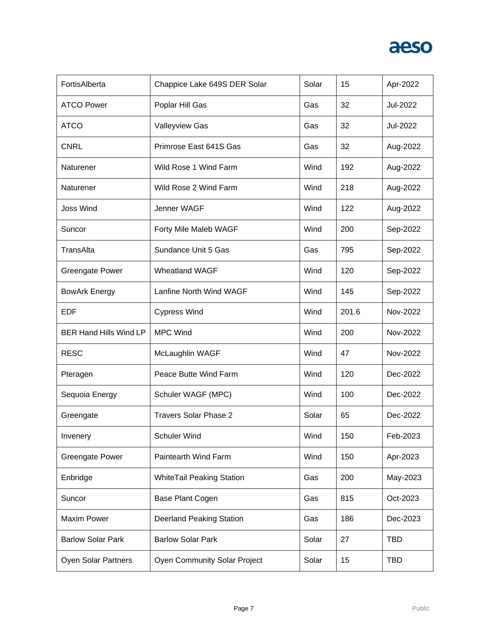| FortisAlberta                 | Chappice Lake 649S DER Solar        | Solar | 15    | Apr-2022   |
|-------------------------------|-------------------------------------|-------|-------|------------|
| <b>ATCO Power</b>             | Poplar Hill Gas                     | Gas   | 32    | Jul-2022   |
| <b>ATCO</b>                   | Valleyview Gas                      | Gas   | 32    | Jul-2022   |
| <b>CNRL</b>                   | Primrose East 641S Gas              | Gas   | 32    | Aug-2022   |
| Naturener                     | Wild Rose 1 Wind Farm               | Wind  | 192   | Aug-2022   |
| Naturener                     | Wild Rose 2 Wind Farm               | Wind  | 218   | Aug-2022   |
| <b>Joss Wind</b>              | Jenner WAGF                         | Wind  | 122   | Aug-2022   |
| Suncor                        | Forty Mile Maleb WAGF               | Wind  | 200   | Sep-2022   |
| TransAlta                     | Sundance Unit 5 Gas                 | Gas   | 795   | Sep-2022   |
| <b>Greengate Power</b>        | <b>Wheatland WAGF</b>               | Wind  | 120   | Sep-2022   |
| <b>BowArk Energy</b>          | Lanfine North Wind WAGF             | Wind  | 145   | Sep-2022   |
| <b>EDF</b>                    | <b>Cypress Wind</b>                 | Wind  | 201.6 | Nov-2022   |
| <b>BER Hand Hills Wind LP</b> | <b>MPC Wind</b>                     | Wind  | 200   | Nov-2022   |
| <b>RESC</b>                   | McLaughlin WAGF                     | Wind  | 47    | Nov-2022   |
| Pteragen                      | Peace Butte Wind Farm               | Wind  | 120   | Dec-2022   |
| Sequoia Energy                | Schuler WAGF (MPC)                  | Wind  | 100   | Dec-2022   |
| Greengate                     | <b>Travers Solar Phase 2</b>        | Solar | 65    | Dec-2022   |
| Invenery                      | <b>Schuler Wind</b>                 | Wind  | 150   | Feb-2023   |
| <b>Greengate Power</b>        | Paintearth Wind Farm                | Wind  | 150   | Apr-2023   |
| Enbridge                      | <b>WhiteTail Peaking Station</b>    | Gas   | 200   | May-2023   |
| Suncor                        | Base Plant Cogen                    | Gas   | 815   | Oct-2023   |
| <b>Maxim Power</b>            | <b>Deerland Peaking Station</b>     | Gas   | 186   | Dec-2023   |
| <b>Barlow Solar Park</b>      | <b>Barlow Solar Park</b>            | Solar | 27    | <b>TBD</b> |
| <b>Oyen Solar Partners</b>    | <b>Oyen Community Solar Project</b> | Solar | 15    | <b>TBD</b> |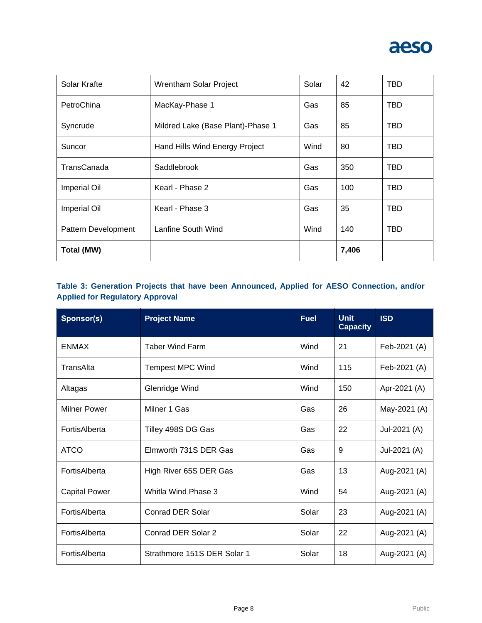

| Solar Krafte        | Wrentham Solar Project            | Solar | 42    | <b>TBD</b> |
|---------------------|-----------------------------------|-------|-------|------------|
| PetroChina          | MacKay-Phase 1                    | Gas   | 85    | <b>TBD</b> |
| Syncrude            | Mildred Lake (Base Plant)-Phase 1 | Gas   | 85    | <b>TBD</b> |
| Suncor              | Hand Hills Wind Energy Project    | Wind  | 80    | TBD        |
| TransCanada         | Saddlebrook                       | Gas   | 350   | <b>TBD</b> |
| <b>Imperial Oil</b> | Kearl - Phase 2                   | Gas   | 100   | <b>TBD</b> |
| <b>Imperial Oil</b> | Kearl - Phase 3                   | Gas   | 35    | TBD        |
| Pattern Development | Lanfine South Wind                | Wind  | 140   | <b>TBD</b> |
| Total (MW)          |                                   |       | 7,406 |            |

### **Table 3: Generation Projects that have been Announced, Applied for AESO Connection, and/or Applied for Regulatory Approval**

| Sponsor(s)           | <b>Project Name</b>         | <b>Fuel</b> | <b>Unit</b><br><b>Capacity</b> | <b>ISD</b>   |
|----------------------|-----------------------------|-------------|--------------------------------|--------------|
| <b>ENMAX</b>         | <b>Taber Wind Farm</b>      | Wind        | 21                             | Feb-2021 (A) |
| TransAlta            | <b>Tempest MPC Wind</b>     | Wind        | 115                            | Feb-2021 (A) |
| Altagas              | Glenridge Wind              | Wind        | 150                            | Apr-2021 (A) |
| Milner Power         | Milner 1 Gas                | Gas         | 26                             | May-2021 (A) |
| FortisAlberta        | Tilley 498S DG Gas          | Gas         | 22                             | Jul-2021 (A) |
| <b>ATCO</b>          | Elmworth 731S DER Gas       | Gas         | 9                              | Jul-2021 (A) |
| FortisAlberta        | High River 65S DER Gas      | Gas         | 13                             | Aug-2021 (A) |
| <b>Capital Power</b> | Whitla Wind Phase 3         | Wind        | 54                             | Aug-2021 (A) |
| FortisAlberta        | Conrad DER Solar            | Solar       | 23                             | Aug-2021 (A) |
| FortisAlberta        | Conrad DER Solar 2          | Solar       | 22                             | Aug-2021 (A) |
| FortisAlberta        | Strathmore 151S DER Solar 1 | Solar       | 18                             | Aug-2021 (A) |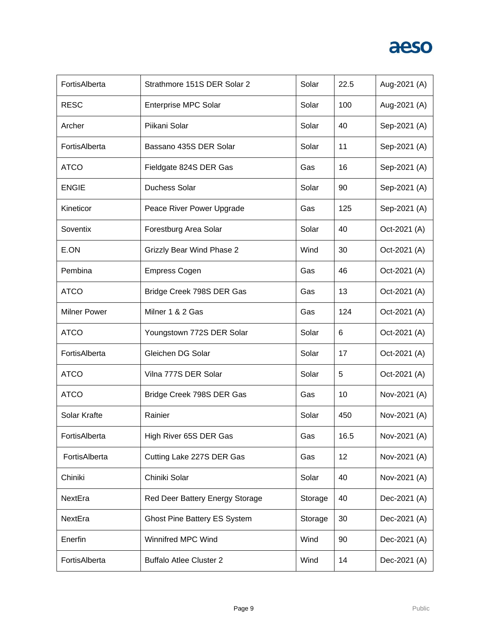| FortisAlberta       | Strathmore 151S DER Solar 2         | Solar   | 22.5 | Aug-2021 (A) |
|---------------------|-------------------------------------|---------|------|--------------|
| <b>RESC</b>         | <b>Enterprise MPC Solar</b>         | Solar   | 100  | Aug-2021 (A) |
| Archer              | Piikani Solar                       | Solar   | 40   | Sep-2021 (A) |
| FortisAlberta       | Bassano 435S DER Solar              | Solar   | 11   | Sep-2021 (A) |
| <b>ATCO</b>         | Fieldgate 824S DER Gas              | Gas     | 16   | Sep-2021 (A) |
| <b>ENGIE</b>        | <b>Duchess Solar</b>                | Solar   | 90   | Sep-2021 (A) |
| Kineticor           | Peace River Power Upgrade           | Gas     | 125  | Sep-2021 (A) |
| Soventix            | Forestburg Area Solar               | Solar   | 40   | Oct-2021 (A) |
| E.ON                | <b>Grizzly Bear Wind Phase 2</b>    | Wind    | 30   | Oct-2021 (A) |
| Pembina             | <b>Empress Cogen</b>                | Gas     | 46   | Oct-2021 (A) |
| <b>ATCO</b>         | Bridge Creek 798S DER Gas           | Gas     | 13   | Oct-2021 (A) |
| <b>Milner Power</b> | Milner 1 & 2 Gas                    | Gas     | 124  | Oct-2021 (A) |
| <b>ATCO</b>         | Youngstown 772S DER Solar           | Solar   | 6    | Oct-2021 (A) |
| FortisAlberta       | Gleichen DG Solar                   | Solar   | 17   | Oct-2021 (A) |
| <b>ATCO</b>         | Vilna 777S DER Solar                | Solar   | 5    | Oct-2021 (A) |
| <b>ATCO</b>         | Bridge Creek 798S DER Gas           | Gas     | 10   | Nov-2021 (A) |
| Solar Krafte        | Rainier                             | Solar   | 450  | Nov-2021 (A) |
| FortisAlberta       | High River 65S DER Gas              | Gas     | 16.5 | Nov-2021 (A) |
| FortisAlberta       | Cutting Lake 227S DER Gas           | Gas     | 12   | Nov-2021 (A) |
| Chiniki             | Chiniki Solar                       | Solar   | 40   | Nov-2021 (A) |
| NextEra             | Red Deer Battery Energy Storage     | Storage | 40   | Dec-2021 (A) |
| NextEra             | <b>Ghost Pine Battery ES System</b> | Storage | 30   | Dec-2021 (A) |
| Enerfin             | Winnifred MPC Wind                  | Wind    | 90   | Dec-2021 (A) |
| FortisAlberta       | <b>Buffalo Atlee Cluster 2</b>      | Wind    | 14   | Dec-2021 (A) |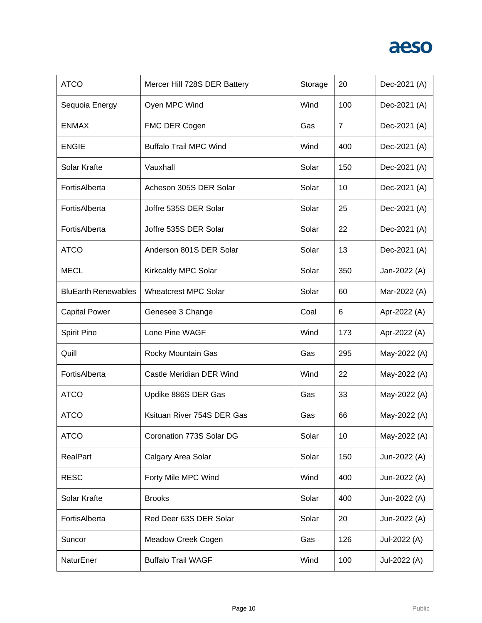| <b>ATCO</b>                | Mercer Hill 728S DER Battery  | Storage | 20             | Dec-2021 (A) |
|----------------------------|-------------------------------|---------|----------------|--------------|
| Sequoia Energy             | Oyen MPC Wind                 | Wind    | 100            | Dec-2021 (A) |
| <b>ENMAX</b>               | FMC DER Cogen                 | Gas     | $\overline{7}$ | Dec-2021 (A) |
| <b>ENGIE</b>               | <b>Buffalo Trail MPC Wind</b> | Wind    | 400            | Dec-2021 (A) |
| Solar Krafte               | Vauxhall                      | Solar   | 150            | Dec-2021 (A) |
| FortisAlberta              | Acheson 305S DER Solar        | Solar   | 10             | Dec-2021 (A) |
| FortisAlberta              | Joffre 535S DER Solar         | Solar   | 25             | Dec-2021 (A) |
| FortisAlberta              | Joffre 535S DER Solar         | Solar   | 22             | Dec-2021 (A) |
| <b>ATCO</b>                | Anderson 801S DER Solar       | Solar   | 13             | Dec-2021 (A) |
| <b>MECL</b>                | Kirkcaldy MPC Solar           | Solar   | 350            | Jan-2022 (A) |
| <b>BluEarth Renewables</b> | <b>Wheatcrest MPC Solar</b>   | Solar   | 60             | Mar-2022 (A) |
| <b>Capital Power</b>       | Genesee 3 Change              | Coal    | 6              | Apr-2022 (A) |
| <b>Spirit Pine</b>         | Lone Pine WAGF                | Wind    | 173            | Apr-2022 (A) |
| Quill                      | Rocky Mountain Gas            | Gas     | 295            | May-2022 (A) |
| FortisAlberta              | Castle Meridian DER Wind      | Wind    | 22             | May-2022 (A) |
| <b>ATCO</b>                | Updike 886S DER Gas           | Gas     | 33             | May-2022 (A) |
| <b>ATCO</b>                | Ksituan River 754S DER Gas    | Gas     | 66             | May-2022 (A) |
| <b>ATCO</b>                | Coronation 773S Solar DG      | Solar   | 10             | May-2022 (A) |
| <b>RealPart</b>            | Calgary Area Solar            | Solar   | 150            | Jun-2022 (A) |
| <b>RESC</b>                | Forty Mile MPC Wind           | Wind    | 400            | Jun-2022 (A) |
| Solar Krafte               | <b>Brooks</b>                 | Solar   | 400            | Jun-2022 (A) |
| FortisAlberta              | Red Deer 63S DER Solar        | Solar   | 20             | Jun-2022 (A) |
| Suncor                     | Meadow Creek Cogen            | Gas     | 126            | Jul-2022 (A) |
| NaturEner                  | <b>Buffalo Trail WAGF</b>     | Wind    | 100            | Jul-2022 (A) |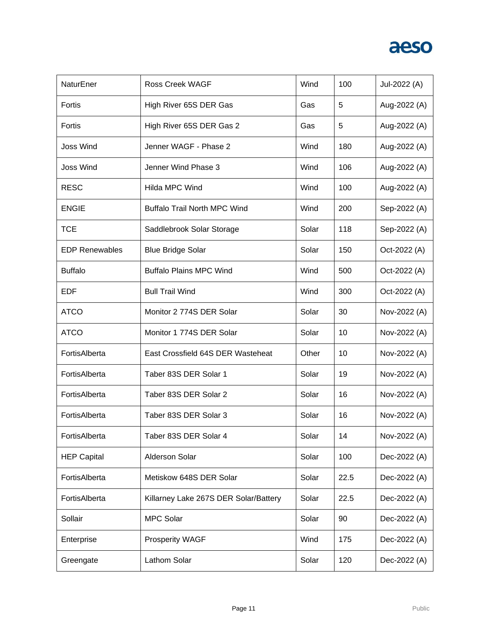| NaturEner             | <b>Ross Creek WAGF</b>                | Wind  | 100  | Jul-2022 (A) |
|-----------------------|---------------------------------------|-------|------|--------------|
| Fortis                | High River 65S DER Gas                | Gas   | 5    | Aug-2022 (A) |
| Fortis                | High River 65S DER Gas 2              | Gas   | 5    | Aug-2022 (A) |
| <b>Joss Wind</b>      | Jenner WAGF - Phase 2                 | Wind  | 180  | Aug-2022 (A) |
| <b>Joss Wind</b>      | Jenner Wind Phase 3                   | Wind  | 106  | Aug-2022 (A) |
| <b>RESC</b>           | <b>Hilda MPC Wind</b>                 | Wind  | 100  | Aug-2022 (A) |
| <b>ENGIE</b>          | <b>Buffalo Trail North MPC Wind</b>   | Wind  | 200  | Sep-2022 (A) |
| <b>TCE</b>            | Saddlebrook Solar Storage             | Solar | 118  | Sep-2022 (A) |
| <b>EDP Renewables</b> | <b>Blue Bridge Solar</b>              | Solar | 150  | Oct-2022 (A) |
| <b>Buffalo</b>        | <b>Buffalo Plains MPC Wind</b>        | Wind  | 500  | Oct-2022 (A) |
| <b>EDF</b>            | <b>Bull Trail Wind</b>                | Wind  | 300  | Oct-2022 (A) |
| <b>ATCO</b>           | Monitor 2 774S DER Solar              | Solar | 30   | Nov-2022 (A) |
| <b>ATCO</b>           | Monitor 1 774S DER Solar              | Solar | 10   | Nov-2022 (A) |
| FortisAlberta         | East Crossfield 64S DER Wasteheat     | Other | 10   | Nov-2022 (A) |
| FortisAlberta         | Taber 83S DER Solar 1                 | Solar | 19   | Nov-2022 (A) |
| FortisAlberta         | Taber 83S DER Solar 2                 | Solar | 16   | Nov-2022 (A) |
| FortisAlberta         | Taber 83S DER Solar 3                 | Solar | 16   | Nov-2022 (A) |
| FortisAlberta         | Taber 83S DER Solar 4                 | Solar | 14   | Nov-2022 (A) |
| <b>HEP Capital</b>    | <b>Alderson Solar</b>                 | Solar | 100  | Dec-2022 (A) |
| FortisAlberta         | Metiskow 648S DER Solar               | Solar | 22.5 | Dec-2022 (A) |
| FortisAlberta         | Killarney Lake 267S DER Solar/Battery | Solar | 22.5 | Dec-2022 (A) |
| Sollair               | <b>MPC Solar</b>                      | Solar | 90   | Dec-2022 (A) |
| Enterprise            | <b>Prosperity WAGF</b>                | Wind  | 175  | Dec-2022 (A) |
| Greengate             | Lathom Solar                          | Solar | 120  | Dec-2022 (A) |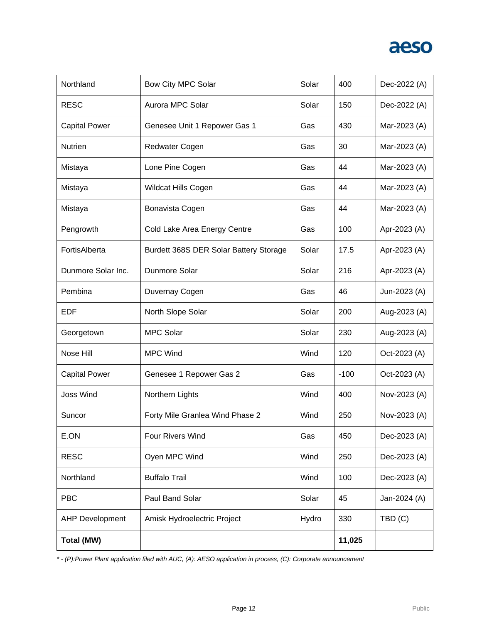| Northland              | <b>Bow City MPC Solar</b>              | Solar | 400    | Dec-2022 (A) |
|------------------------|----------------------------------------|-------|--------|--------------|
| <b>RESC</b>            | Aurora MPC Solar                       | Solar | 150    | Dec-2022 (A) |
| <b>Capital Power</b>   | Genesee Unit 1 Repower Gas 1           | Gas   | 430    | Mar-2023 (A) |
| <b>Nutrien</b>         | <b>Redwater Cogen</b>                  | Gas   | 30     | Mar-2023 (A) |
| Mistaya                | Lone Pine Cogen                        | Gas   | 44     | Mar-2023 (A) |
| Mistaya                | Wildcat Hills Cogen                    | Gas   | 44     | Mar-2023 (A) |
| Mistaya                | Bonavista Cogen                        | Gas   | 44     | Mar-2023 (A) |
| Pengrowth              | Cold Lake Area Energy Centre           | Gas   | 100    | Apr-2023 (A) |
| FortisAlberta          | Burdett 368S DER Solar Battery Storage | Solar | 17.5   | Apr-2023 (A) |
| Dunmore Solar Inc.     | Dunmore Solar                          | Solar | 216    | Apr-2023 (A) |
| Pembina                | Duvernay Cogen                         | Gas   | 46     | Jun-2023 (A) |
| EDF                    | North Slope Solar                      | Solar | 200    | Aug-2023 (A) |
| Georgetown             | <b>MPC Solar</b>                       | Solar | 230    | Aug-2023 (A) |
| Nose Hill              | <b>MPC Wind</b>                        | Wind  | 120    | Oct-2023 (A) |
| <b>Capital Power</b>   | Genesee 1 Repower Gas 2                | Gas   | $-100$ | Oct-2023 (A) |
| <b>Joss Wind</b>       | Northern Lights                        | Wind  | 400    | Nov-2023 (A) |
| Suncor                 | Forty Mile Granlea Wind Phase 2        | Wind  | 250    | Nov-2023 (A) |
| E.ON                   | Four Rivers Wind                       | Gas   | 450    | Dec-2023 (A) |
| <b>RESC</b>            | Oyen MPC Wind                          | Wind  | 250    | Dec-2023 (A) |
| Northland              | <b>Buffalo Trail</b>                   | Wind  | 100    | Dec-2023 (A) |
| <b>PBC</b>             | Paul Band Solar                        | Solar | 45     | Jan-2024 (A) |
| <b>AHP Development</b> | Amisk Hydroelectric Project            | Hydro | 330    | TBD(C)       |
| Total (MW)             |                                        |       | 11,025 |              |

*\* - (P):Power Plant application filed with AUC, (A): AESO application in process, (C): Corporate announcement*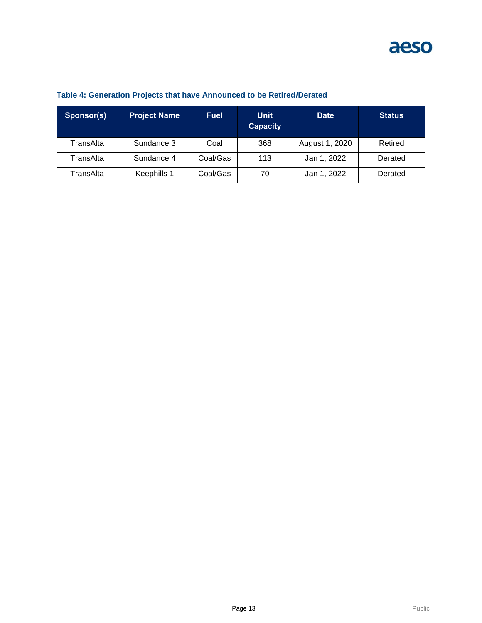| Sponsor(s) | <b>Project Name</b> | <b>Fuel</b> | <b>Unit</b><br><b>Capacity</b> | <b>Date</b>    | <b>Status</b> |
|------------|---------------------|-------------|--------------------------------|----------------|---------------|
| TransAlta  | Sundance 3          | Coal        | 368                            | August 1, 2020 | Retired       |
| TransAlta  | Sundance 4          | Coal/Gas    | 113                            | Jan 1, 2022    | Derated       |
| TransAlta  | Keephills 1         | Coal/Gas    | 70                             | Jan 1, 2022    | Derated       |

### **Table 4: Generation Projects that have Announced to be Retired/Derated**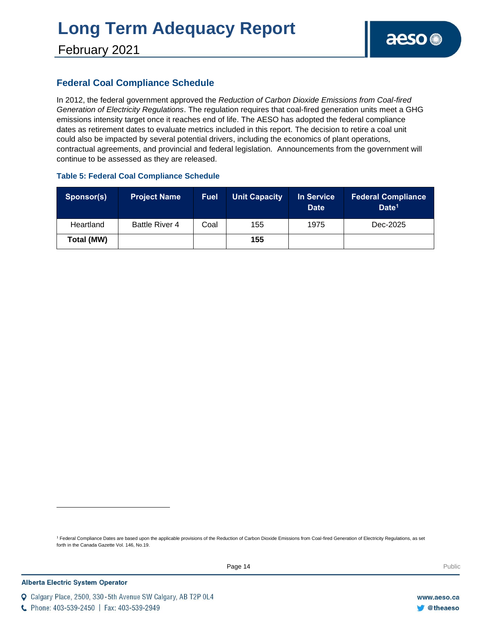# **Long Term Adequacy Report**

### **Federal Coal Compliance Schedule**

In 2012, the federal government approved the *Reduction of Carbon Dioxide Emissions from Coal-fired Generation of Electricity Regulations*. The regulation requires that coal-fired generation units meet a GHG emissions intensity target once it reaches end of life. The AESO has adopted the federal compliance dates as retirement dates to evaluate metrics included in this report. The decision to retire a coal unit could also be impacted by several potential drivers, including the economics of plant operations, contractual agreements, and provincial and federal legislation. Announcements from the government will continue to be assessed as they are released.

#### **Table 5: Federal Coal Compliance Schedule**

| Sponsor(s) | <b>Project Name</b>   | <b>Fuel</b> | <b>Unit Capacity</b> | In Service<br><b>Date</b> | <b>Federal Compliance</b><br>Date <sup>1</sup> |
|------------|-----------------------|-------------|----------------------|---------------------------|------------------------------------------------|
| Heartland  | <b>Battle River 4</b> | Coal        | 155                  | 1975                      | Dec-2025                                       |
| Total (MW) |                       |             | 155                  |                           |                                                |

<sup>1</sup> Federal Compliance Dates are based upon the applicable provisions of the Reduction of Carbon Dioxide Emissions from Coal-fired Generation of Electricity Regulations, as set forth in the Canada Gazette Vol. 146, No.19.

C Phone: 403-539-2450 | Fax: 403-539-2949

Q Calgary Place, 2500, 330-5th Avenue SW Calgary, AB T2P 0L4

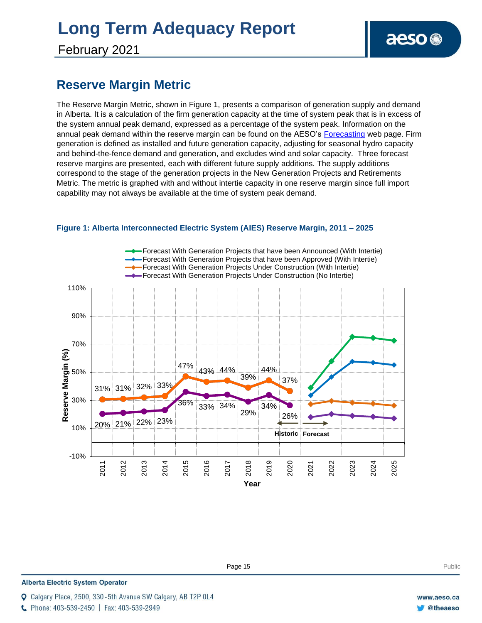# **Long Term Adequacy Report**

February 2021

### **Reserve Margin Metric**

The Reserve Margin Metric, shown in Figure 1, presents a comparison of generation supply and demand in Alberta. It is a calculation of the firm generation capacity at the time of system peak that is in excess of the system annual peak demand, expressed as a percentage of the system peak. Information on the annual peak demand within the reserve margin can be found on the AESO's [Forecasting](https://www.aeso.ca/grid/forecasting) web page. Firm generation is defined as installed and future generation capacity, adjusting for seasonal hydro capacity and behind-the-fence demand and generation, and excludes wind and solar capacity. Three forecast reserve margins are presented, each with different future supply additions. The supply additions correspond to the stage of the generation projects in the New Generation Projects and Retirements Metric. The metric is graphed with and without intertie capacity in one reserve margin since full import capability may not always be available at the time of system peak demand.



**Figure 1: Alberta Interconnected Electric System (AIES) Reserve Margin, 2011 – 2025**

#### **Alberta Electric System Operator**

Calgary Place, 2500, 330-5th Avenue SW Calgary, AB T2P 0L4

C Phone: 403-539-2450 | Fax: 403-539-2949

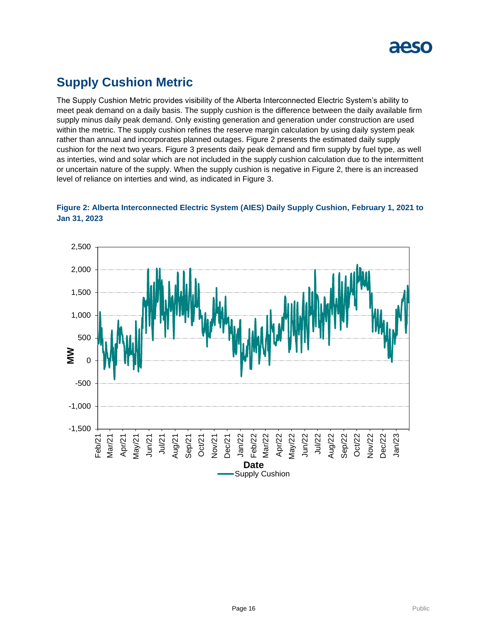

### **Supply Cushion Metric**

The Supply Cushion Metric provides visibility of the Alberta Interconnected Electric System's ability to meet peak demand on a daily basis. The supply cushion is the difference between the daily available firm supply minus daily peak demand. Only existing generation and generation under construction are used within the metric. The supply cushion refines the reserve margin calculation by using daily system peak rather than annual and incorporates planned outages. Figure 2 presents the estimated daily supply cushion for the next two years. Figure 3 presents daily peak demand and firm supply by fuel type, as well as interties, wind and solar which are not included in the supply cushion calculation due to the intermittent or uncertain nature of the supply. When the supply cushion is negative in Figure 2, there is an increased level of reliance on interties and wind, as indicated in Figure 3.



### **Figure 2: Alberta Interconnected Electric System (AIES) Daily Supply Cushion, February 1, 2021 to Jan 31, 2023**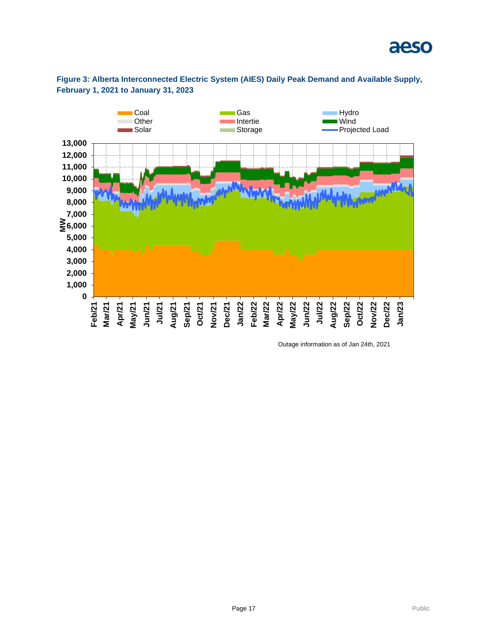



### **Figure 3: Alberta Interconnected Electric System (AIES) Daily Peak Demand and Available Supply, February 1, 2021 to January 31, 2023**

Outage information as of Jan 24th, 2021